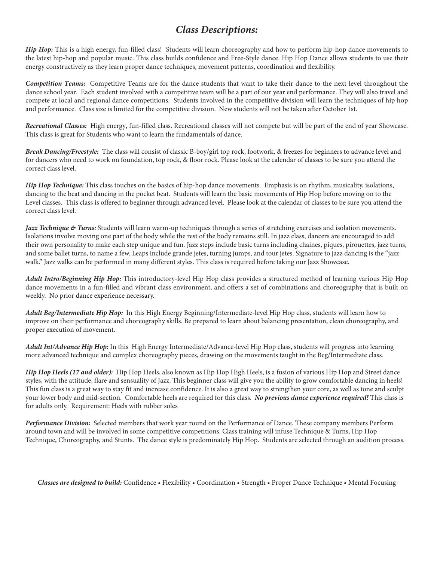## *Class Descriptions:*

*Hip Hop:* This is a high energy, fun-filled class! Students will learn choreography and how to perform hip-hop dance movements to the latest hip-hop and popular music. This class builds confidence and Free-Style dance. Hip Hop Dance allows students to use their energy constructively as they learn proper dance techniques, movement patterns, coordination and flexibility.

*Competition Teams:* Competitive Teams are for the dance students that want to take their dance to the next level throughout the dance school year. Each student involved with a competitive team will be a part of our year end performance. They will also travel and compete at local and regional dance competitions. Students involved in the competitive division will learn the techniques of hip hop and performance. Class size is limited for the competitive division. New students will not be taken after October 1st.

*Recreational Classes:* High energy, fun-filled class. Recreational classes will not compete but will be part of the end of year Showcase. This class is great for Students who want to learn the fundamentals of dance.

*Break Dancing/Freestyle:* The class will consist of classic B-boy/girl top rock, footwork, & freezes for beginners to advance level and for dancers who need to work on foundation, top rock, & floor rock. Please look at the calendar of classes to be sure you attend the correct class level.

*Hip Hop Technique:* This class touches on the basics of hip-hop dance movements. Emphasis is on rhythm, musicality, isolations, dancing to the beat and dancing in the pocket beat. Students will learn the basic movements of Hip Hop before moving on to the Level classes. This class is offered to beginner through advanced level. Please look at the calendar of classes to be sure you attend the correct class level.

*Jazz Technique & Turns:* Students will learn warm-up techniques through a series of stretching exercises and isolation movements. Isolations involve moving one part of the body while the rest of the body remains still. In jazz class, dancers are encouraged to add their own personality to make each step unique and fun. Jazz steps include basic turns including chaines, piques, pirouettes, jazz turns, and some ballet turns, to name a few. Leaps include grande jetes, turning jumps, and tour jetes. Signature to jazz dancing is the "jazz walk." Jazz walks can be performed in many different styles. This class is required before taking our Jazz Showcase.

*Adult Intro/Beginning Hip Hop:* This introductory-level Hip Hop class provides a structured method of learning various Hip Hop dance movements in a fun-filled and vibrant class environment, and offers a set of combinations and choreography that is built on weekly. No prior dance experience necessary.

*Adult Beg/Intermediate Hip Hop:* In this High Energy Beginning/Intermediate-level Hip Hop class, students will learn how to improve on their performance and choreography skills. Be prepared to learn about balancing presentation, clean choreography, and proper execution of movement.

*Adult Int/Advance Hip Hop:* In this High Energy Intermediate/Advance-level Hip Hop class, students will progress into learning more advanced technique and complex choreography pieces, drawing on the movements taught in the Beg/Intermediate class.

*Hip Hop Heels (17 and older):* Hip Hop Heels, also known as Hip Hop High Heels, is a fusion of various Hip Hop and Street dance styles, with the attitude, flare and sensuality of Jazz. This beginner class will give you the ability to grow comfortable dancing in heels! This fun class is a great way to stay fit and increase confidence. It is also a great way to strengthen your core, as well as tone and sculpt your lower body and mid-section. Comfortable heels are required for this class. *No previous dance experience required!* This class is for adults only. Requirement: Heels with rubber soles

*Performance Division:* Selected members that work year round on the Performance of Dance. These company members Perform around town and will be involved in some competitive competitions. Class training will infuse Technique & Turns, Hip Hop Technique, Choreography, and Stunts. The dance style is predominately Hip Hop. Students are selected through an audition process.

*Classes are designed to build:* Confidence • Flexibility • Coordination • Strength • Proper Dance Technique • Mental Focusing